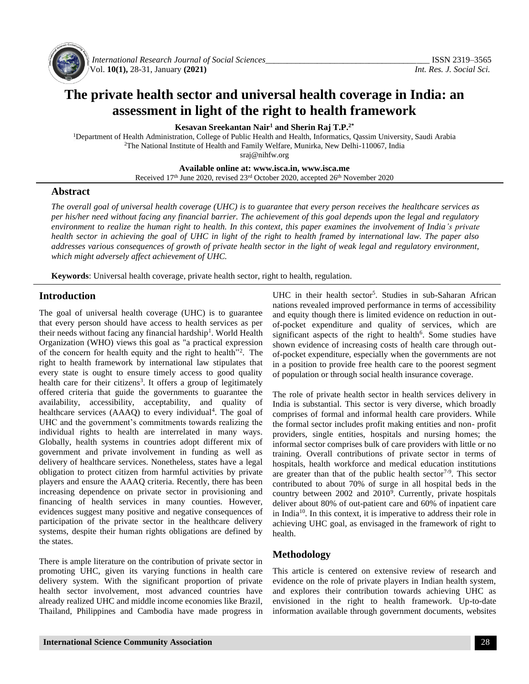

*International Research Journal of Social Sciences\_\_\_\_\_\_\_\_\_\_\_\_\_\_\_\_\_\_\_\_\_\_\_\_\_\_\_\_\_\_\_\_\_\_\_\_\_\_* ISSN 2319–3565 Vol. **10(1),** 28-31, January **(2021)** *Int. Res. J. Social Sci.*

# **The private health sector and universal health coverage in India: an assessment in light of the right to health framework**

**Kesavan Sreekantan Nair<sup>1</sup> and Sherin Raj T.P.2\***

<sup>1</sup>Department of Health Administration, College of Public Health and Health, Informatics, Qassim University, Saudi Arabia <sup>2</sup>The National Institute of Health and Family Welfare, Munirka, New Delhi-110067, India [sraj@nihfw.org](mailto:sraj@nihfw.org)

**Available online at: [www.isca.in,](http://www.isca.in/) www.isca.me**

Received 17<sup>th</sup> June 2020, revised 23<sup>rd</sup> October 2020, accepted 26<sup>th</sup> November 2020

### **Abstract**

*The overall goal of universal health coverage (UHC) is to guarantee that every person receives the healthcare services as per his/her need without facing any financial barrier. The achievement of this goal depends upon the legal and regulatory environment to realize the human right to health. In this context, this paper examines the involvement of India's private health sector in achieving the goal of UHC in light of the right to health framed by international law. The paper also addresses various consequences of growth of private health sector in the light of weak legal and regulatory environment, which might adversely affect achievement of UHC.*

**Keywords**: Universal health coverage, private health sector, right to health, regulation.

## **Introduction**

The goal of universal health coverage (UHC) is to guarantee that every person should have access to health services as per their needs without facing any financial hardship<sup>1</sup>. World Health Organization (WHO) views this goal as "a practical expression of the concern for health equity and the right to health"<sup>2</sup>. The right to health framework by international law stipulates that every state is ought to ensure timely access to good quality health care for their citizens<sup>3</sup>. It offers a group of legitimately offered criteria that guide the governments to guarantee the availability, accessibility, acceptability, and quality of healthcare services (AAAQ) to every individual<sup>4</sup>. The goal of UHC and the government's commitments towards realizing the individual rights to health are interrelated in many ways. Globally, health systems in countries adopt different mix of government and private involvement in funding as well as delivery of healthcare services. Nonetheless, states have a legal obligation to protect citizen from harmful activities by private players and ensure the AAAQ criteria. Recently, there has been increasing dependence on private sector in provisioning and financing of health services in many counties. However, evidences suggest many positive and negative consequences of participation of the private sector in the healthcare delivery systems, despite their human rights obligations are defined by the states.

There is ample literature on the contribution of private sector in promoting UHC, given its varying functions in health care delivery system. With the significant proportion of private health sector involvement, most advanced countries have already realized UHC and middle income economies like Brazil, Thailand, Philippines and Cambodia have made progress in

UHC in their health sector<sup>5</sup>. Studies in sub-Saharan African nations revealed improved performance in terms of accessibility and equity though there is limited evidence on reduction in outof-pocket expenditure and quality of services, which are significant aspects of the right to health<sup>6</sup>. Some studies have shown evidence of increasing costs of health care through outof-pocket expenditure, especially when the governments are not in a position to provide free health care to the poorest segment of population or through social health insurance coverage.

The role of private health sector in health services delivery in India is substantial. This sector is very diverse, which broadly comprises of formal and informal health care providers. While the formal sector includes profit making entities and non- profit providers, single entities, hospitals and nursing homes; the informal sector comprises bulk of care providers with little or no training. Overall contributions of private sector in terms of hospitals, health workforce and medical education institutions are greater than that of the public health sector<sup> $7-9$ </sup>. This sector contributed to about 70% of surge in all hospital beds in the country between 2002 and 2010<sup>9</sup>. Currently, private hospitals deliver about 80% of out-patient care and 60% of inpatient care in India<sup>10</sup>. In this context, it is imperative to address their role in achieving UHC goal, as envisaged in the framework of right to health.

## **Methodology**

This article is centered on extensive review of research and evidence on the role of private players in Indian health system, and explores their contribution towards achieving UHC as envisioned in the right to health framework. Up-to-date information available through government documents, websites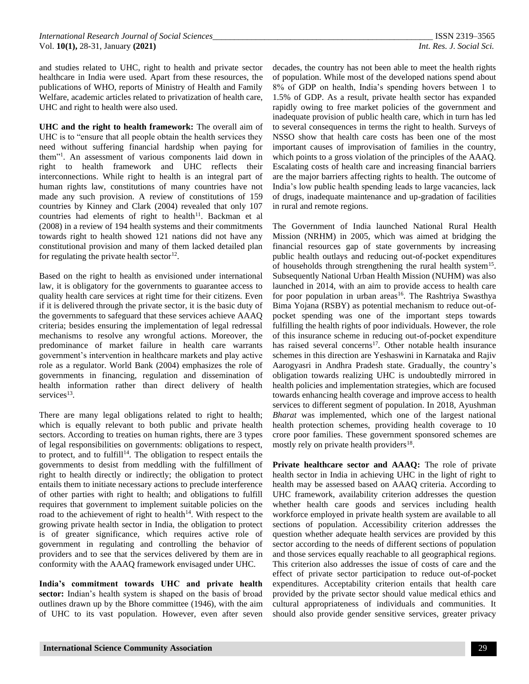and studies related to UHC, right to health and private sector healthcare in India were used. Apart from these resources, the publications of WHO, reports of Ministry of Health and Family Welfare, academic articles related to privatization of health care, UHC and right to health were also used.

**UHC and the right to health framework:** The overall aim of UHC is to "ensure that all people obtain the health services they need without suffering financial hardship when paying for them"<sup>1</sup> . An assessment of various components laid down in right to health framework and UHC reflects their interconnections. While right to health is an integral part of human rights law, constitutions of many countries have not made any such provision. A review of constitutions of 159 countries by Kinney and Clark (2004) revealed that only 107 countries had elements of right to health<sup>11</sup>. Backman et al (2008) in a review of 194 health systems and their commitments towards right to health showed 121 nations did not have any constitutional provision and many of them lacked detailed plan for regulating the private health sector<sup>12</sup>.

Based on the right to health as envisioned under international law, it is obligatory for the governments to guarantee access to quality health care services at right time for their citizens. Even if it is delivered through the private sector, it is the basic duty of the governments to safeguard that these services achieve AAAQ criteria; besides ensuring the implementation of legal redressal mechanisms to resolve any wrongful actions. Moreover, the predominance of market failure in health care warrants government's intervention in healthcare markets and play active role as a regulator. World Bank (2004) emphasizes the role of governments in financing, regulation and dissemination of health information rather than direct delivery of health services<sup>13</sup>.

There are many legal obligations related to right to health; which is equally relevant to both public and private health sectors. According to treaties on human rights, there are 3 types of legal responsibilities on governments: obligations to respect, to protect, and to fulfill<sup>14</sup>. The obligation to respect entails the governments to desist from meddling with the fulfillment of right to health directly or indirectly; the obligation to protect entails them to initiate necessary actions to preclude interference of other parties with right to health; and obligations to fulfill requires that government to implement suitable policies on the road to the achievement of right to health $14$ . With respect to the growing private health sector in India, the obligation to protect is of greater significance, which requires active role of government in regulating and controlling the behavior of providers and to see that the services delivered by them are in conformity with the AAAQ framework envisaged under UHC.

**India's commitment towards UHC and private health sector:** Indian's health system is shaped on the basis of broad outlines drawn up by the Bhore committee (1946), with the aim of UHC to its vast population. However, even after seven

decades, the country has not been able to meet the health rights of population. While most of the developed nations spend about 8% of GDP on health, India's spending hovers between 1 to 1.5% of GDP. As a result, private health sector has expanded rapidly owing to free market policies of the government and inadequate provision of public health care, which in turn has led to several consequences in terms the right to health. Surveys of NSSO show that health care costs has been one of the most important causes of improvisation of families in the country, which points to a gross violation of the principles of the AAAQ. Escalating costs of health care and increasing financial barriers are the major barriers affecting rights to health. The outcome of India's low public health spending leads to large vacancies, lack of drugs, inadequate maintenance and up-gradation of facilities in rural and remote regions.

The Government of India launched National Rural Health Mission (NRHM) in 2005, which was aimed at bridging the financial resources gap of state governments by increasing public health outlays and reducing out-of-pocket expenditures of households through strengthening the rural health system<sup>15</sup>. Subsequently National Urban Health Mission (NUHM) was also launched in 2014, with an aim to provide access to health care for poor population in urban areas<sup>16</sup>. The Rashtriya Swasthya Bima Yojana (RSBY) as potential mechanism to reduce out-ofpocket spending was one of the important steps towards fulfilling the health rights of poor individuals. However, the role of this insurance scheme in reducing out-of-pocket expenditure has raised several concerns<sup>17</sup>. Other notable health insurance schemes in this direction are Yeshaswini in Karnataka and Rajiv Aarogyasri in Andhra Pradesh state. Gradually, the country's obligation towards realizing UHC is undoubtedly mirrored in health policies and implementation strategies, which are focused towards enhancing health coverage and improve access to health services to different segment of population. In 2018, Ayushman *Bharat* was implemented, which one of the largest national health protection schemes, providing health coverage to 10 crore poor families. These government sponsored schemes are mostly rely on private health providers<sup>18</sup>.

Private healthcare sector and AAAQ: The role of private health sector in India in achieving UHC in the light of right to health may be assessed based on AAAQ criteria. According to UHC framework, availability criterion addresses the question whether health care goods and services including health workforce employed in private health system are available to all sections of population. Accessibility criterion addresses the question whether adequate health services are provided by this sector according to the needs of different sections of population and those services equally reachable to all geographical regions. This criterion also addresses the issue of costs of care and the effect of private sector participation to reduce out-of-pocket expenditures. Acceptability criterion entails that health care provided by the private sector should value medical ethics and cultural appropriateness of individuals and communities. It should also provide gender sensitive services, greater privacy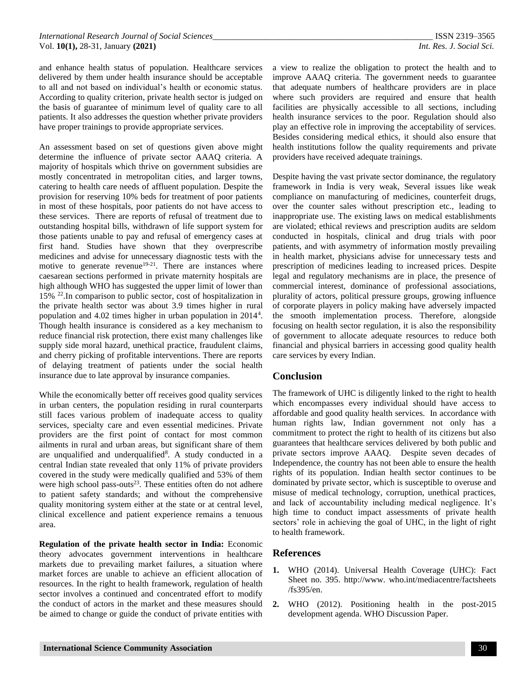and enhance health status of population. Healthcare services delivered by them under health insurance should be acceptable to all and not based on individual's health or economic status. According to quality criterion, private health sector is judged on the basis of guarantee of minimum level of quality care to all patients. It also addresses the question whether private providers have proper trainings to provide appropriate services.

An assessment based on set of questions given above might determine the influence of private sector AAAQ criteria. A majority of hospitals which thrive on government subsidies are mostly concentrated in metropolitan cities, and larger towns, catering to health care needs of affluent population. Despite the provision for reserving 10% beds for treatment of poor patients in most of these hospitals, poor patients do not have access to these services. There are reports of refusal of treatment due to outstanding hospital bills, withdrawn of life support system for those patients unable to pay and refusal of emergency cases at first hand. Studies have shown that they overprescribe medicines and advise for unnecessary diagnostic tests with the motive to generate revenue<sup>19-21</sup>. There are instances where caesarean sections performed in private maternity hospitals are high although WHO has suggested the upper limit of lower than 15% <sup>22</sup>.In comparison to public sector, cost of hospitalization in the private health sector was about 3.9 times higher in rural population and 4.02 times higher in urban population in 2014<sup>4</sup>. Though health insurance is considered as a key mechanism to reduce financial risk protection, there exist many challenges like supply side moral hazard, unethical practice, fraudulent claims, and cherry picking of profitable interventions. There are reports of delaying treatment of patients under the social health insurance due to late approval by insurance companies.

While the economically better off receives good quality services in urban centers, the population residing in rural counterparts still faces various problem of inadequate access to quality services, specialty care and even essential medicines. Private providers are the first point of contact for most common ailments in rural and urban areas, but significant share of them are unqualified and underqualified<sup>8</sup>. A study conducted in a central Indian state revealed that only 11% of private providers covered in the study were medically qualified and 53% of them were high school pass-outs $2<sup>3</sup>$ . These entities often do not adhere to patient safety standards; and without the comprehensive quality monitoring system either at the state or at central level, clinical excellence and patient experience remains a tenuous area.

**Regulation of the private health sector in India:** Economic theory advocates government interventions in healthcare markets due to prevailing market failures, a situation where market forces are unable to achieve an efficient allocation of resources. In the right to health framework, regulation of health sector involves a continued and concentrated effort to modify the conduct of actors in the market and these measures should be aimed to change or guide the conduct of private entities with

a view to realize the obligation to protect the health and to improve AAAQ criteria. The government needs to guarantee that adequate numbers of healthcare providers are in place where such providers are required and ensure that health facilities are physically accessible to all sections, including health insurance services to the poor. Regulation should also play an effective role in improving the acceptability of services. Besides considering medical ethics, it should also ensure that health institutions follow the quality requirements and private providers have received adequate trainings.

Despite having the vast private sector dominance, the regulatory framework in India is very weak, Several issues like weak compliance on manufacturing of medicines, counterfeit drugs, over the counter sales without prescription etc., leading to inappropriate use. The existing laws on medical establishments are violated; ethical reviews and prescription audits are seldom conducted in hospitals, clinical and drug trials with poor patients, and with asymmetry of information mostly prevailing in health market, physicians advise for unnecessary tests and prescription of medicines leading to increased prices. Despite legal and regulatory mechanisms are in place, the presence of commercial interest, dominance of professional associations, plurality of actors, political pressure groups, growing influence of corporate players in policy making have adversely impacted the smooth implementation process. Therefore, alongside focusing on health sector regulation, it is also the responsibility of government to allocate adequate resources to reduce both financial and physical barriers in accessing good quality health care services by every Indian.

## **Conclusion**

The framework of UHC is diligently linked to the right to health which encompasses every individual should have access to affordable and good quality health services. In accordance with human rights law, Indian government not only has a commitment to protect the right to health of its citizens but also guarantees that healthcare services delivered by both public and private sectors improve AAAQ. Despite seven decades of Independence, the country has not been able to ensure the health rights of its population. Indian health sector continues to be dominated by private sector, which is susceptible to overuse and misuse of medical technology, corruption, unethical practices, and lack of accountability including medical negligence. It's high time to conduct impact assessments of private health sectors' role in achieving the goal of UHC, in the light of right to health framework.

## **References**

- WHO (2014). Universal Health Coverage (UHC): Fact Sheet no. 395. http://www. who.int/mediacentre/factsheets /fs395/en.
- **2.** WHO (2012). Positioning health in the post-2015 development agenda. WHO Discussion Paper.